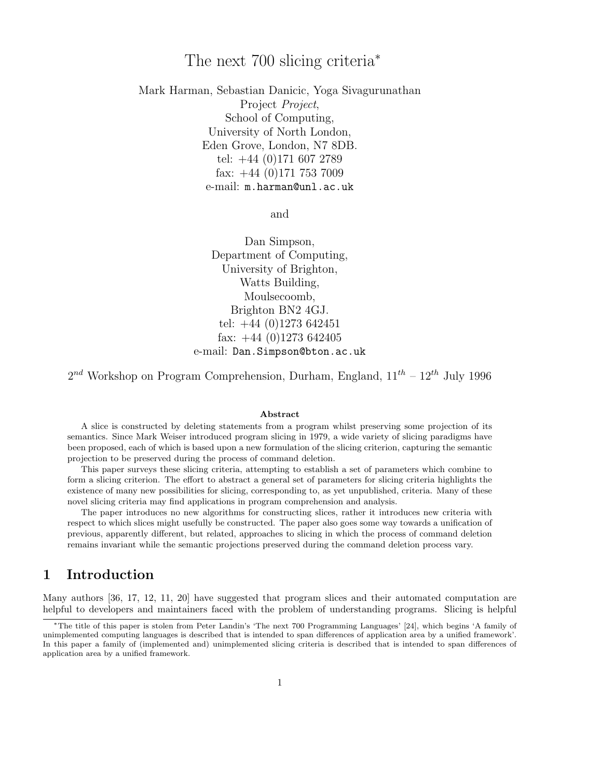# The next 700 slicing criteria<sup>∗</sup>

Mark Harman, Sebastian Danicic, Yoga Sivagurunathan Project *Project*, School of Computing, University of North London, Eden Grove, London, N7 8DB. tel: +44 (0)171 607 2789 fax: +44 (0)171 753 7009 e-mail: m.harman@unl.ac.uk

and

Dan Simpson, Department of Computing, University of Brighton, Watts Building, Moulsecoomb, Brighton BN2 4GJ. tel: +44 (0)1273 642451 fax:  $+44$  (0)1273 642405 e-mail: Dan.Simpson@bton.ac.uk

 $2^{nd}$  Workshop on Program Comprehension, Durham, England,  $11^{th} - 12^{th}$  July 1996

#### Abstract

A slice is constructed by deleting statements from a program whilst preserving some projection of its semantics. Since Mark Weiser introduced program slicing in 1979, a wide variety of slicing paradigms have been proposed, each of which is based upon a new formulation of the slicing criterion, capturing the semantic projection to be preserved during the process of command deletion.

This paper surveys these slicing criteria, attempting to establish a set of parameters which combine to form a slicing criterion. The effort to abstract a general set of parameters for slicing criteria highlights the existence of many new possibilities for slicing, corresponding to, as yet unpublished, criteria. Many of these novel slicing criteria may find applications in program comprehension and analysis.

The paper introduces no new algorithms for constructing slices, rather it introduces new criteria with respect to which slices might usefully be constructed. The paper also goes some way towards a unification of previous, apparently different, but related, approaches to slicing in which the process of command deletion remains invariant while the semantic projections preserved during the command deletion process vary.

## 1 Introduction

Many authors [36, 17, 12, 11, 20] have suggested that program slices and their automated computation are helpful to developers and maintainers faced with the problem of understanding programs. Slicing is helpful

<sup>∗</sup>The title of this paper is stolen from Peter Landin's 'The next 700 Programming Languages' [24], which begins 'A family of unimplemented computing languages is described that is intended to span differences of application area by a unified framework'. In this paper a family of (implemented and) unimplemented slicing criteria is described that is intended to span differences of application area by a unified framework.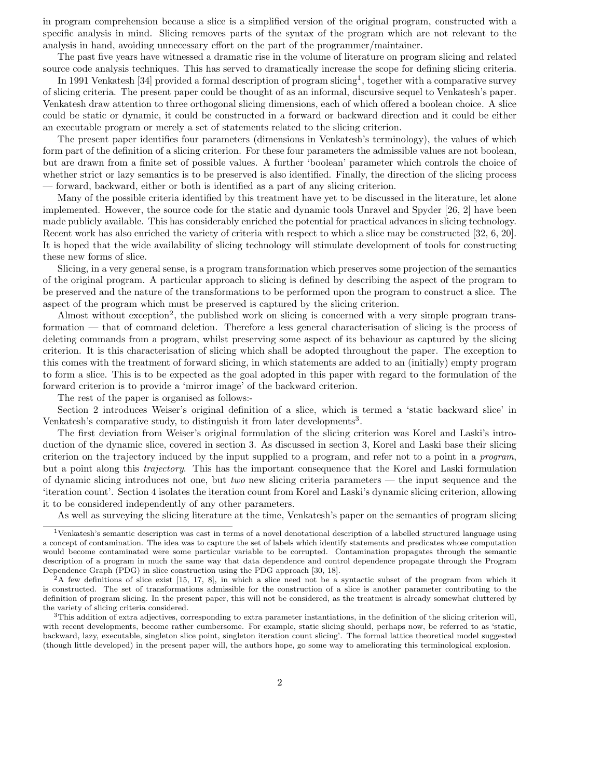in program comprehension because a slice is a simplified version of the original program, constructed with a specific analysis in mind. Slicing removes parts of the syntax of the program which are not relevant to the analysis in hand, avoiding unnecessary effort on the part of the programmer/maintainer.

The past five years have witnessed a dramatic rise in the volume of literature on program slicing and related source code analysis techniques. This has served to dramatically increase the scope for defining slicing criteria.

In 1991 Venkatesh [34] provided a formal description of program slicing<sup>1</sup>, together with a comparative survey of slicing criteria. The present paper could be thought of as an informal, discursive sequel to Venkatesh's paper. Venkatesh draw attention to three orthogonal slicing dimensions, each of which offered a boolean choice. A slice could be static or dynamic, it could be constructed in a forward or backward direction and it could be either an executable program or merely a set of statements related to the slicing criterion.

The present paper identifies four parameters (dimensions in Venkatesh's terminology), the values of which form part of the definition of a slicing criterion. For these four parameters the admissible values are not boolean, but are drawn from a finite set of possible values. A further 'boolean' parameter which controls the choice of whether strict or lazy semantics is to be preserved is also identified. Finally, the direction of the slicing process — forward, backward, either or both is identified as a part of any slicing criterion.

Many of the possible criteria identified by this treatment have yet to be discussed in the literature, let alone implemented. However, the source code for the static and dynamic tools Unravel and Spyder [26, 2] have been made publicly available. This has considerably enriched the potential for practical advances in slicing technology. Recent work has also enriched the variety of criteria with respect to which a slice may be constructed [32, 6, 20]. It is hoped that the wide availability of slicing technology will stimulate development of tools for constructing these new forms of slice.

Slicing, in a very general sense, is a program transformation which preserves some projection of the semantics of the original program. A particular approach to slicing is defined by describing the aspect of the program to be preserved and the nature of the transformations to be performed upon the program to construct a slice. The aspect of the program which must be preserved is captured by the slicing criterion.

Almost without exception<sup>2</sup>, the published work on slicing is concerned with a very simple program transformation — that of command deletion. Therefore a less general characterisation of slicing is the process of deleting commands from a program, whilst preserving some aspect of its behaviour as captured by the slicing criterion. It is this characterisation of slicing which shall be adopted throughout the paper. The exception to this comes with the treatment of forward slicing, in which statements are added to an (initially) empty program to form a slice. This is to be expected as the goal adopted in this paper with regard to the formulation of the forward criterion is to provide a 'mirror image' of the backward criterion.

The rest of the paper is organised as follows:-

Section 2 introduces Weiser's original definition of a slice, which is termed a 'static backward slice' in Venkatesh's comparative study, to distinguish it from later developments<sup>3</sup>.

The first deviation from Weiser's original formulation of the slicing criterion was Korel and Laski's introduction of the dynamic slice, covered in section 3. As discussed in section 3, Korel and Laski base their slicing criterion on the trajectory induced by the input supplied to a program, and refer not to a point in a program, but a point along this trajectory. This has the important consequence that the Korel and Laski formulation of dynamic slicing introduces not one, but two new slicing criteria parameters — the input sequence and the 'iteration count'. Section 4 isolates the iteration count from Korel and Laski's dynamic slicing criterion, allowing it to be considered independently of any other parameters.

As well as surveying the slicing literature at the time, Venkatesh's paper on the semantics of program slicing

<sup>1</sup>Venkatesh's semantic description was cast in terms of a novel denotational description of a labelled structured language using a concept of contamination. The idea was to capture the set of labels which identify statements and predicates whose computation would become contaminated were some particular variable to be corrupted. Contamination propagates through the semantic description of a program in much the same way that data dependence and control dependence propagate through the Program Dependence Graph (PDG) in slice construction using the PDG approach [30, 18].

 ${}^{2}$ A few definitions of slice exist [15, 17, 8], in which a slice need not be a syntactic subset of the program from which it is constructed. The set of transformations admissible for the construction of a slice is another parameter contributing to the definition of program slicing. In the present paper, this will not be considered, as the treatment is already somewhat cluttered by the variety of slicing criteria considered.

 $3$ This addition of extra adjectives, corresponding to extra parameter instantiations, in the definition of the slicing criterion will, with recent developments, become rather cumbersome. For example, static slicing should, perhaps now, be referred to as 'static, backward, lazy, executable, singleton slice point, singleton iteration count slicing'. The formal lattice theoretical model suggested (though little developed) in the present paper will, the authors hope, go some way to ameliorating this terminological explosion.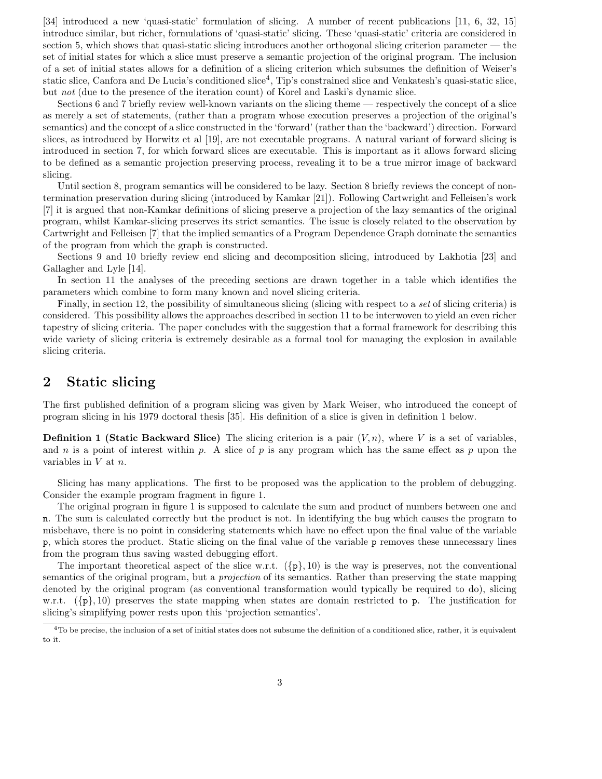[34] introduced a new 'quasi-static' formulation of slicing. A number of recent publications [11, 6, 32, 15] introduce similar, but richer, formulations of 'quasi-static' slicing. These 'quasi-static' criteria are considered in section 5, which shows that quasi-static slicing introduces another orthogonal slicing criterion parameter — the set of initial states for which a slice must preserve a semantic projection of the original program. The inclusion of a set of initial states allows for a definition of a slicing criterion which subsumes the definition of Weiser's static slice, Canfora and De Lucia's conditioned slice<sup>4</sup>, Tip's constrained slice and Venkatesh's quasi-static slice, but not (due to the presence of the iteration count) of Korel and Laski's dynamic slice.

Sections 6 and 7 briefly review well-known variants on the slicing theme — respectively the concept of a slice as merely a set of statements, (rather than a program whose execution preserves a projection of the original's semantics) and the concept of a slice constructed in the 'forward' (rather than the 'backward') direction. Forward slices, as introduced by Horwitz et al [19], are not executable programs. A natural variant of forward slicing is introduced in section 7, for which forward slices are executable. This is important as it allows forward slicing to be defined as a semantic projection preserving process, revealing it to be a true mirror image of backward slicing.

Until section 8, program semantics will be considered to be lazy. Section 8 briefly reviews the concept of nontermination preservation during slicing (introduced by Kamkar [21]). Following Cartwright and Felleisen's work [7] it is argued that non-Kamkar definitions of slicing preserve a projection of the lazy semantics of the original program, whilst Kamkar-slicing preserves its strict semantics. The issue is closely related to the observation by Cartwright and Felleisen [7] that the implied semantics of a Program Dependence Graph dominate the semantics of the program from which the graph is constructed.

Sections 9 and 10 briefly review end slicing and decomposition slicing, introduced by Lakhotia [23] and Gallagher and Lyle [14].

In section 11 the analyses of the preceding sections are drawn together in a table which identifies the parameters which combine to form many known and novel slicing criteria.

Finally, in section 12, the possibility of simultaneous slicing (slicing with respect to a set of slicing criteria) is considered. This possibility allows the approaches described in section 11 to be interwoven to yield an even richer tapestry of slicing criteria. The paper concludes with the suggestion that a formal framework for describing this wide variety of slicing criteria is extremely desirable as a formal tool for managing the explosion in available slicing criteria.

## 2 Static slicing

The first published definition of a program slicing was given by Mark Weiser, who introduced the concept of program slicing in his 1979 doctoral thesis [35]. His definition of a slice is given in definition 1 below.

**Definition 1 (Static Backward Slice)** The slicing criterion is a pair  $(V, n)$ , where V is a set of variables, and n is a point of interest within p. A slice of p is any program which has the same effect as p upon the variables in  $V$  at  $n$ .

Slicing has many applications. The first to be proposed was the application to the problem of debugging. Consider the example program fragment in figure 1.

The original program in figure 1 is supposed to calculate the sum and product of numbers between one and n. The sum is calculated correctly but the product is not. In identifying the bug which causes the program to misbehave, there is no point in considering statements which have no effect upon the final value of the variable p, which stores the product. Static slicing on the final value of the variable p removes these unnecessary lines from the program thus saving wasted debugging effort.

The important theoretical aspect of the slice w.r.t.  $({p}, 10)$  is the way is preserves, not the conventional semantics of the original program, but a projection of its semantics. Rather than preserving the state mapping denoted by the original program (as conventional transformation would typically be required to do), slicing w.r.t.  $({p}, 10)$  preserves the state mapping when states are domain restricted to p. The justification for slicing's simplifying power rests upon this 'projection semantics'.

 $4T_0$  be precise, the inclusion of a set of initial states does not subsume the definition of a conditioned slice, rather, it is equivalent to it.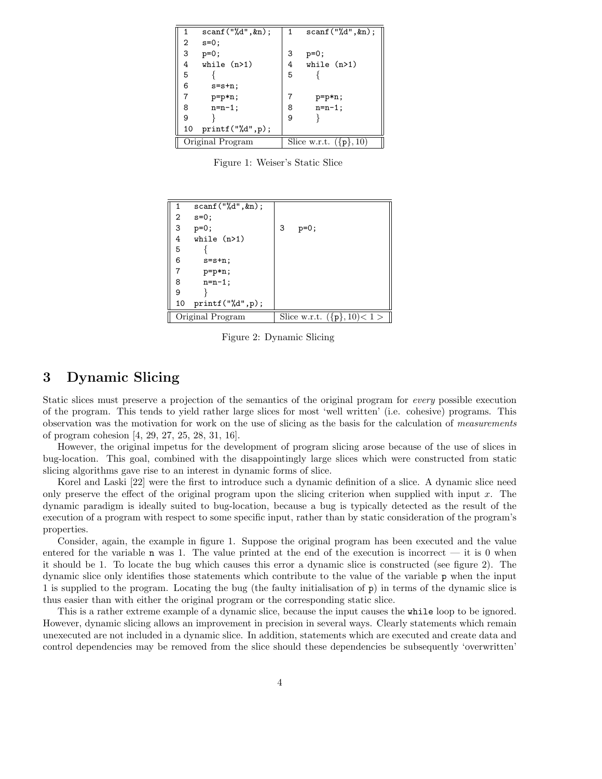| 1                | $scan f("%d", \&n);$ | $1 \quad$                  | scan f("%d", kn); |  |
|------------------|----------------------|----------------------------|-------------------|--|
| 2                | $s=0$ ;              |                            |                   |  |
| 3                | $p=0;$               | 3                          | $p=0;$            |  |
| 4                | while $(n>1)$        | 4                          | while $(n>1)$     |  |
| 5                |                      | 5                          |                   |  |
| 6                | $s = s + n$ ;        |                            |                   |  |
| 7                | p=p*n;               |                            | p=p*n;            |  |
| 8                | $n=n-1$ ;            |                            | $n=n-1$ ;         |  |
| 9                |                      | 9                          |                   |  |
| 10               | printf("%d",p);      |                            |                   |  |
| Original Program |                      | Slice w.r.t. $(\{p\}, 10)$ |                   |  |

Figure 1: Weiser's Static Slice

|                  | $scan f("%d",\&n);$ |   |                                |
|------------------|---------------------|---|--------------------------------|
| 2                | $s=0$ ;             |   |                                |
| 3                | $p=0;$              | 3 | $p=0;$                         |
| 4                | while $(n>1)$       |   |                                |
| 5                |                     |   |                                |
| 6                | $s = s + n$ ;       |   |                                |
| $\overline{7}$   | $p=p*n;$            |   |                                |
| 8                | $n=n-1$ ;           |   |                                |
| 9                |                     |   |                                |
| 10               | print("%d", p);     |   |                                |
| Original Program |                     |   | Slice w.r.t. $({p}, 10) < 1 >$ |

Figure 2: Dynamic Slicing

## 3 Dynamic Slicing

Static slices must preserve a projection of the semantics of the original program for every possible execution of the program. This tends to yield rather large slices for most 'well written' (i.e. cohesive) programs. This observation was the motivation for work on the use of slicing as the basis for the calculation of measurements of program cohesion [4, 29, 27, 25, 28, 31, 16].

However, the original impetus for the development of program slicing arose because of the use of slices in bug-location. This goal, combined with the disappointingly large slices which were constructed from static slicing algorithms gave rise to an interest in dynamic forms of slice.

Korel and Laski [22] were the first to introduce such a dynamic definition of a slice. A dynamic slice need only preserve the effect of the original program upon the slicing criterion when supplied with input  $x$ . The dynamic paradigm is ideally suited to bug-location, because a bug is typically detected as the result of the execution of a program with respect to some specific input, rather than by static consideration of the program's properties.

Consider, again, the example in figure 1. Suppose the original program has been executed and the value entered for the variable n was 1. The value printed at the end of the execution is incorrect — it is 0 when it should be 1. To locate the bug which causes this error a dynamic slice is constructed (see figure 2). The dynamic slice only identifies those statements which contribute to the value of the variable p when the input 1 is supplied to the program. Locating the bug (the faulty initialisation of p) in terms of the dynamic slice is thus easier than with either the original program or the corresponding static slice.

This is a rather extreme example of a dynamic slice, because the input causes the while loop to be ignored. However, dynamic slicing allows an improvement in precision in several ways. Clearly statements which remain unexecuted are not included in a dynamic slice. In addition, statements which are executed and create data and control dependencies may be removed from the slice should these dependencies be subsequently 'overwritten'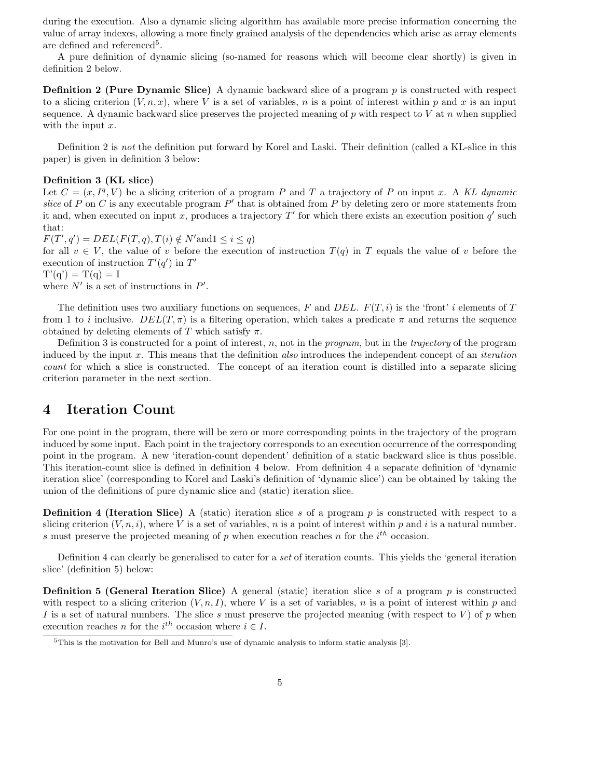during the execution. Also a dynamic slicing algorithm has available more precise information concerning the value of array indexes, allowing a more finely grained analysis of the dependencies which arise as array elements are defined and referenced<sup>5</sup>.

A pure definition of dynamic slicing (so-named for reasons which will become clear shortly) is given in definition 2 below.

**Definition 2 (Pure Dynamic Slice)** A dynamic backward slice of a program  $p$  is constructed with respect to a slicing criterion  $(V, n, x)$ , where V is a set of variables, n is a point of interest within p and x is an input sequence. A dynamic backward slice preserves the projected meaning of  $p$  with respect to  $V$  at  $n$  when supplied with the input  $x$ .

Definition 2 is not the definition put forward by Korel and Laski. Their definition (called a KL-slice in this paper) is given in definition 3 below:

#### Definition 3 (KL slice)

Let  $C = (x, I<sup>q</sup>, V)$  be a slicing criterion of a program P and T a trajectory of P on input x. A KL dynamic slice of P on C is any executable program  $P'$  that is obtained from P by deleting zero or more statements from it and, when executed on input x, produces a trajectory  $T'$  for which there exists an execution position  $q'$  such that:

 $F(T', q') = DEL(F(T, q), T(i) \notin N'$  and  $1 \leq i \leq q$ ) for all  $v \in V$ , the value of v before the execution of instruction  $T(q)$  in T equals the value of v before the execution of instruction  $T'(q')$  in  $T'$  $T'(q') = T(q) = I$ 

where  $N'$  is a set of instructions in  $P'$ .

The definition uses two auxiliary functions on sequences, F and DEL.  $F(T, i)$  is the 'front' i elements of T from 1 to i inclusive.  $DEL(T, \pi)$  is a filtering operation, which takes a predicate  $\pi$  and returns the sequence obtained by deleting elements of T which satisfy  $\pi$ .

Definition 3 is constructed for a point of interest, n, not in the program, but in the trajectory of the program induced by the input x. This means that the definition also introduces the independent concept of an iteration count for which a slice is constructed. The concept of an iteration count is distilled into a separate slicing criterion parameter in the next section.

### 4 Iteration Count

For one point in the program, there will be zero or more corresponding points in the trajectory of the program induced by some input. Each point in the trajectory corresponds to an execution occurrence of the corresponding point in the program. A new 'iteration-count dependent' definition of a static backward slice is thus possible. This iteration-count slice is defined in definition 4 below. From definition 4 a separate definition of 'dynamic iteration slice' (corresponding to Korel and Laski's definition of 'dynamic slice') can be obtained by taking the union of the definitions of pure dynamic slice and (static) iteration slice.

**Definition 4 (Iteration Slice)** A (static) iteration slice s of a program  $p$  is constructed with respect to a slicing criterion  $(V, n, i)$ , where V is a set of variables, n is a point of interest within p and i is a natural number. s must preserve the projected meaning of p when execution reaches n for the  $i<sup>th</sup>$  occasion.

Definition 4 can clearly be generalised to cater for a set of iteration counts. This yields the 'general iteration slice' (definition 5) below:

**Definition 5 (General Iteration Slice)** A general (static) iteration slice s of a program p is constructed with respect to a slicing criterion  $(V, n, I)$ , where V is a set of variables, n is a point of interest within p and I is a set of natural numbers. The slice s must preserve the projected meaning (with respect to V) of p when execution reaches *n* for the  $i^{th}$  occasion where  $i \in I$ .

 $5$ This is the motivation for Bell and Munro's use of dynamic analysis to inform static analysis [3].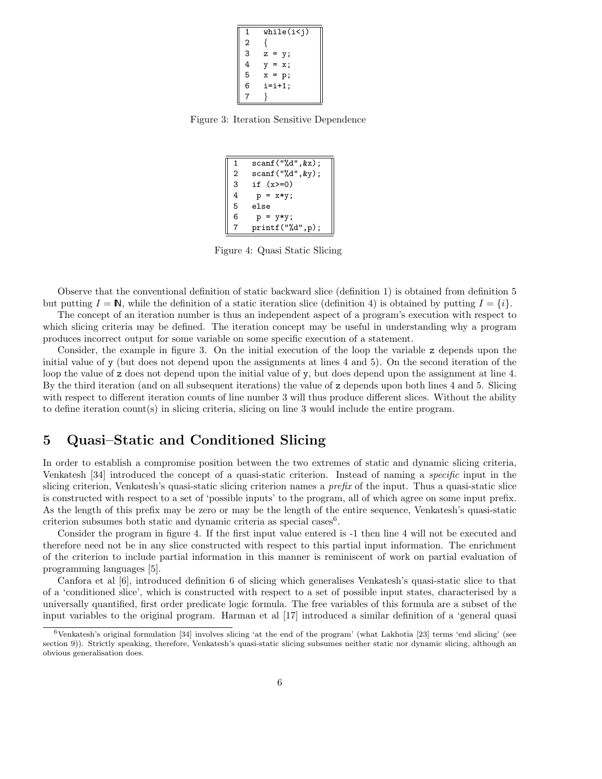| 1 | while(i < j) |
|---|--------------|
| 2 |              |
| 3 | z<br>у;      |
| 4 | x:<br>v<br>= |
| 5 | $x =$<br>p;  |
| 6 | $i=i+1$ ;    |
|   |              |

Figure 3: Iteration Sensitive Dependence

| $\mathbf{1}$   | scan f("%d", & x);   |
|----------------|----------------------|
| $\overline{2}$ | $scan f("%d", \&y);$ |
| 3              | if $(x>=0)$          |
| 4              | $p = x*y;$           |
| 5              | else                 |
| 6              | $p = y*y;$           |
| 7              | print(f("M", p);     |

Figure 4: Quasi Static Slicing

Observe that the conventional definition of static backward slice (definition 1) is obtained from definition 5 but putting  $I = \mathbb{N}$ , while the definition of a static iteration slice (definition 4) is obtained by putting  $I = \{i\}$ .

The concept of an iteration number is thus an independent aspect of a program's execution with respect to which slicing criteria may be defined. The iteration concept may be useful in understanding why a program produces incorrect output for some variable on some specific execution of a statement.

Consider, the example in figure 3. On the initial execution of the loop the variable z depends upon the initial value of y (but does not depend upon the assignments at lines 4 and 5). On the second iteration of the loop the value of z does not depend upon the initial value of y, but does depend upon the assignment at line 4. By the third iteration (and on all subsequent iterations) the value of z depends upon both lines 4 and 5. Slicing with respect to different iteration counts of line number 3 will thus produce different slices. Without the ability to define iteration count(s) in slicing criteria, slicing on line 3 would include the entire program.

## 5 Quasi–Static and Conditioned Slicing

In order to establish a compromise position between the two extremes of static and dynamic slicing criteria, Venkatesh [34] introduced the concept of a quasi-static criterion. Instead of naming a specific input in the slicing criterion, Venkatesh's quasi-static slicing criterion names a prefix of the input. Thus a quasi-static slice is constructed with respect to a set of 'possible inputs' to the program, all of which agree on some input prefix. As the length of this prefix may be zero or may be the length of the entire sequence, Venkatesh's quasi-static criterion subsumes both static and dynamic criteria as special cases<sup>6</sup>.

Consider the program in figure 4. If the first input value entered is -1 then line 4 will not be executed and therefore need not be in any slice constructed with respect to this partial input information. The enrichment of the criterion to include partial information in this manner is reminiscent of work on partial evaluation of programming languages [5].

Canfora et al [6], introduced definition 6 of slicing which generalises Venkatesh's quasi-static slice to that of a 'conditioned slice', which is constructed with respect to a set of possible input states, characterised by a universally quantified, first order predicate logic formula. The free variables of this formula are a subset of the input variables to the original program. Harman et al [17] introduced a similar definition of a 'general quasi

 $6$ Venkatesh's original formulation [34] involves slicing 'at the end of the program' (what Lakhotia [23] terms 'end slicing' (see section 9)). Strictly speaking, therefore, Venkatesh's quasi-static slicing subsumes neither static nor dynamic slicing, although an obvious generalisation does.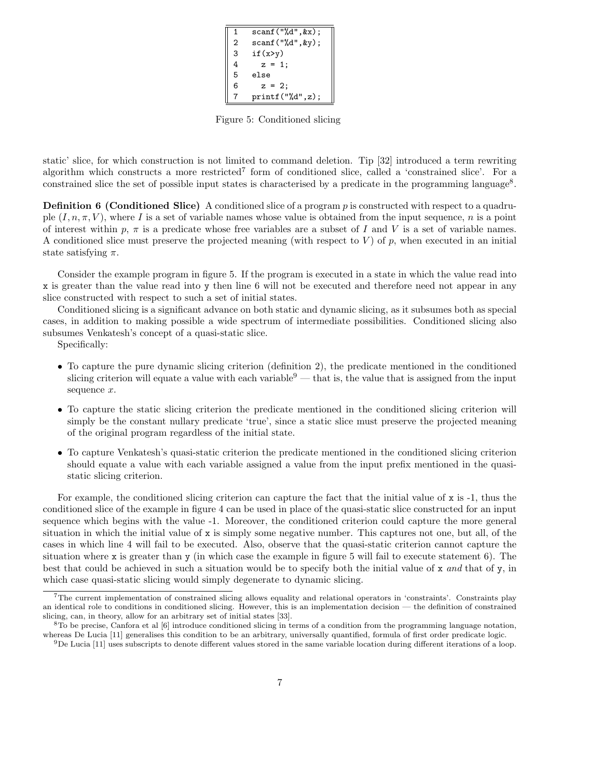1 scanf("%d",&x); 2 scanf("%d",&y); 3 if(x>y) 4 z = 1; 5 else 6 z = 2; 7 printf("%d",z);

Figure 5: Conditioned slicing

static' slice, for which construction is not limited to command deletion. Tip [32] introduced a term rewriting algorithm which constructs a more restricted<sup>7</sup> form of conditioned slice, called a 'constrained slice'. For a constrained slice the set of possible input states is characterised by a predicate in the programming language<sup>8</sup>.

**Definition 6 (Conditioned Slice)** A conditioned slice of a program  $p$  is constructed with respect to a quadruple  $(I, n, \pi, V)$ , where I is a set of variable names whose value is obtained from the input sequence, n is a point of interest within p,  $\pi$  is a predicate whose free variables are a subset of I and V is a set of variable names. A conditioned slice must preserve the projected meaning (with respect to  $V$ ) of p, when executed in an initial state satisfying  $\pi$ .

Consider the example program in figure 5. If the program is executed in a state in which the value read into x is greater than the value read into y then line 6 will not be executed and therefore need not appear in any slice constructed with respect to such a set of initial states.

Conditioned slicing is a significant advance on both static and dynamic slicing, as it subsumes both as special cases, in addition to making possible a wide spectrum of intermediate possibilities. Conditioned slicing also subsumes Venkatesh's concept of a quasi-static slice.

Specifically:

- To capture the pure dynamic slicing criterion (definition 2), the predicate mentioned in the conditioned slicing criterion will equate a value with each variable  $9$  — that is, the value that is assigned from the input sequence x.
- To capture the static slicing criterion the predicate mentioned in the conditioned slicing criterion will simply be the constant nullary predicate 'true', since a static slice must preserve the projected meaning of the original program regardless of the initial state.
- To capture Venkatesh's quasi-static criterion the predicate mentioned in the conditioned slicing criterion should equate a value with each variable assigned a value from the input prefix mentioned in the quasistatic slicing criterion.

For example, the conditioned slicing criterion can capture the fact that the initial value of  $x$  is  $-1$ , thus the conditioned slice of the example in figure 4 can be used in place of the quasi-static slice constructed for an input sequence which begins with the value -1. Moreover, the conditioned criterion could capture the more general situation in which the initial value of x is simply some negative number. This captures not one, but all, of the cases in which line 4 will fail to be executed. Also, observe that the quasi-static criterion cannot capture the situation where x is greater than y (in which case the example in figure 5 will fail to execute statement 6). The best that could be achieved in such a situation would be to specify both the initial value of x and that of y, in which case quasi-static slicing would simply degenerate to dynamic slicing.

<sup>7</sup>The current implementation of constrained slicing allows equality and relational operators in 'constraints'. Constraints play an identical role to conditions in conditioned slicing. However, this is an implementation decision — the definition of constrained slicing, can, in theory, allow for an arbitrary set of initial states [33].

 ${}^{8}$ To be precise, Canfora et al [6] introduce conditioned slicing in terms of a condition from the programming language notation, whereas De Lucia [11] generalises this condition to be an arbitrary, universally quantified, formula of first order predicate logic.

 $9$ De Lucia [11] uses subscripts to denote different values stored in the same variable location during different iterations of a loop.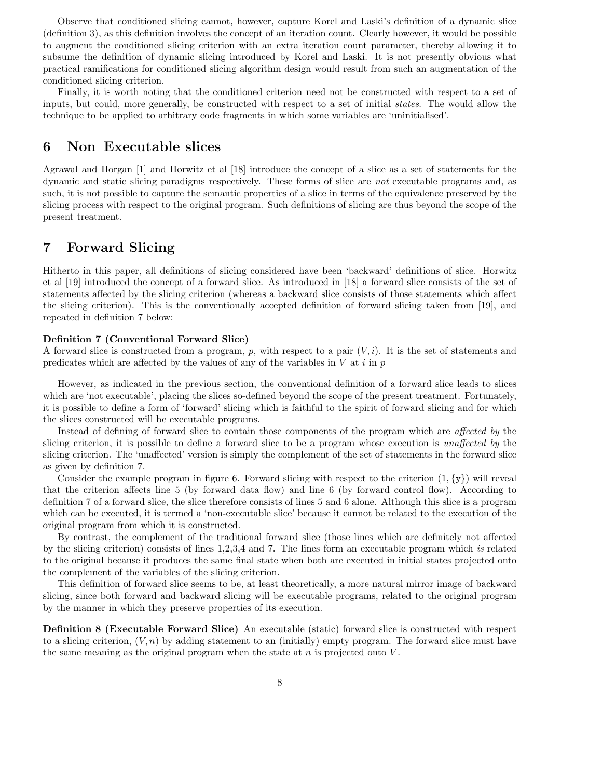Observe that conditioned slicing cannot, however, capture Korel and Laski's definition of a dynamic slice (definition 3), as this definition involves the concept of an iteration count. Clearly however, it would be possible to augment the conditioned slicing criterion with an extra iteration count parameter, thereby allowing it to subsume the definition of dynamic slicing introduced by Korel and Laski. It is not presently obvious what practical ramifications for conditioned slicing algorithm design would result from such an augmentation of the conditioned slicing criterion.

Finally, it is worth noting that the conditioned criterion need not be constructed with respect to a set of inputs, but could, more generally, be constructed with respect to a set of initial states. The would allow the technique to be applied to arbitrary code fragments in which some variables are 'uninitialised'.

### 6 Non–Executable slices

Agrawal and Horgan [1] and Horwitz et al [18] introduce the concept of a slice as a set of statements for the dynamic and static slicing paradigms respectively. These forms of slice are not executable programs and, as such, it is not possible to capture the semantic properties of a slice in terms of the equivalence preserved by the slicing process with respect to the original program. Such definitions of slicing are thus beyond the scope of the present treatment.

## 7 Forward Slicing

Hitherto in this paper, all definitions of slicing considered have been 'backward' definitions of slice. Horwitz et al [19] introduced the concept of a forward slice. As introduced in [18] a forward slice consists of the set of statements affected by the slicing criterion (whereas a backward slice consists of those statements which affect the slicing criterion). This is the conventionally accepted definition of forward slicing taken from [19], and repeated in definition 7 below:

#### Definition 7 (Conventional Forward Slice)

A forward slice is constructed from a program, p, with respect to a pair  $(V, i)$ . It is the set of statements and predicates which are affected by the values of any of the variables in  $V$  at  $i$  in  $p$ 

However, as indicated in the previous section, the conventional definition of a forward slice leads to slices which are 'not executable', placing the slices so-defined beyond the scope of the present treatment. Fortunately, it is possible to define a form of 'forward' slicing which is faithful to the spirit of forward slicing and for which the slices constructed will be executable programs.

Instead of defining of forward slice to contain those components of the program which are affected by the slicing criterion, it is possible to define a forward slice to be a program whose execution is unaffected by the slicing criterion. The 'unaffected' version is simply the complement of the set of statements in the forward slice as given by definition 7.

Consider the example program in figure 6. Forward slicing with respect to the criterion  $(1,\{y\})$  will reveal that the criterion affects line 5 (by forward data flow) and line 6 (by forward control flow). According to definition 7 of a forward slice, the slice therefore consists of lines 5 and 6 alone. Although this slice is a program which can be executed, it is termed a 'non-executable slice' because it cannot be related to the execution of the original program from which it is constructed.

By contrast, the complement of the traditional forward slice (those lines which are definitely not affected by the slicing criterion) consists of lines 1,2,3,4 and 7. The lines form an executable program which is related to the original because it produces the same final state when both are executed in initial states projected onto the complement of the variables of the slicing criterion.

This definition of forward slice seems to be, at least theoretically, a more natural mirror image of backward slicing, since both forward and backward slicing will be executable programs, related to the original program by the manner in which they preserve properties of its execution.

Definition 8 (Executable Forward Slice) An executable (static) forward slice is constructed with respect to a slicing criterion,  $(V, n)$  by adding statement to an (initially) empty program. The forward slice must have the same meaning as the original program when the state at  $n$  is projected onto  $V$ .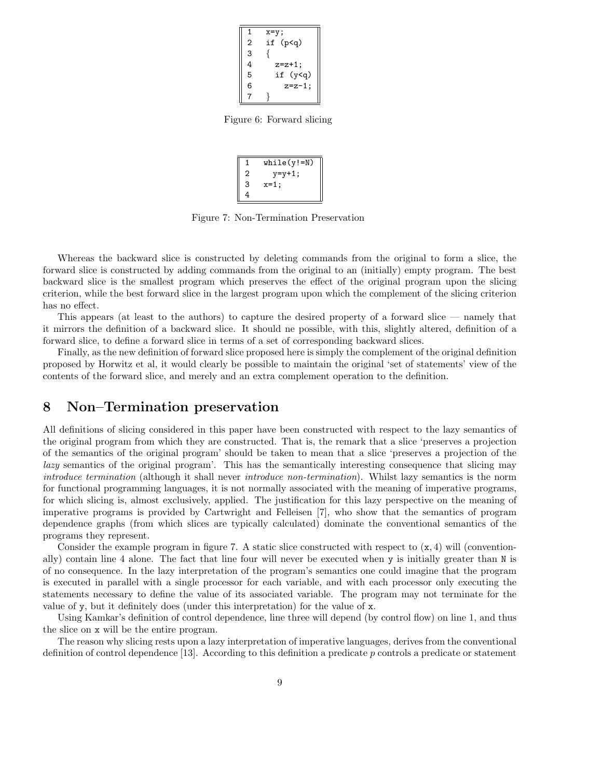| 1              | х=у;                    |
|----------------|-------------------------|
| $\overline{2}$ | if (p <q)< td=""></q)<> |
| 3              |                         |
| 4              | $z=z+1$ ;               |
| 5              | if (y <q)< td=""></q)<> |
| 6              | $z=z-1$ ;               |
|                |                         |

Figure 6: Forward slicing

| 1 | $while(y!=N)$ |
|---|---------------|
| 2 | $y = y + 1$ ; |
| 3 | x=1;          |
| 4 |               |

Figure 7: Non-Termination Preservation

Whereas the backward slice is constructed by deleting commands from the original to form a slice, the forward slice is constructed by adding commands from the original to an (initially) empty program. The best backward slice is the smallest program which preserves the effect of the original program upon the slicing criterion, while the best forward slice in the largest program upon which the complement of the slicing criterion has no effect.

This appears (at least to the authors) to capture the desired property of a forward slice — namely that it mirrors the definition of a backward slice. It should ne possible, with this, slightly altered, definition of a forward slice, to define a forward slice in terms of a set of corresponding backward slices.

Finally, as the new definition of forward slice proposed here is simply the complement of the original definition proposed by Horwitz et al, it would clearly be possible to maintain the original 'set of statements' view of the contents of the forward slice, and merely and an extra complement operation to the definition.

### 8 Non–Termination preservation

All definitions of slicing considered in this paper have been constructed with respect to the lazy semantics of the original program from which they are constructed. That is, the remark that a slice 'preserves a projection of the semantics of the original program' should be taken to mean that a slice 'preserves a projection of the lazy semantics of the original program'. This has the semantically interesting consequence that slicing may introduce termination (although it shall never introduce non-termination). Whilst lazy semantics is the norm for functional programming languages, it is not normally associated with the meaning of imperative programs, for which slicing is, almost exclusively, applied. The justification for this lazy perspective on the meaning of imperative programs is provided by Cartwright and Felleisen [7], who show that the semantics of program dependence graphs (from which slices are typically calculated) dominate the conventional semantics of the programs they represent.

Consider the example program in figure 7. A static slice constructed with respect to  $(x, 4)$  will (conventionally) contain line 4 alone. The fact that line four will never be executed when y is initially greater than N is of no consequence. In the lazy interpretation of the program's semantics one could imagine that the program is executed in parallel with a single processor for each variable, and with each processor only executing the statements necessary to define the value of its associated variable. The program may not terminate for the value of y, but it definitely does (under this interpretation) for the value of x.

Using Kamkar's definition of control dependence, line three will depend (by control flow) on line 1, and thus the slice on x will be the entire program.

The reason why slicing rests upon a lazy interpretation of imperative languages, derives from the conventional definition of control dependence [13]. According to this definition a predicate p controls a predicate or statement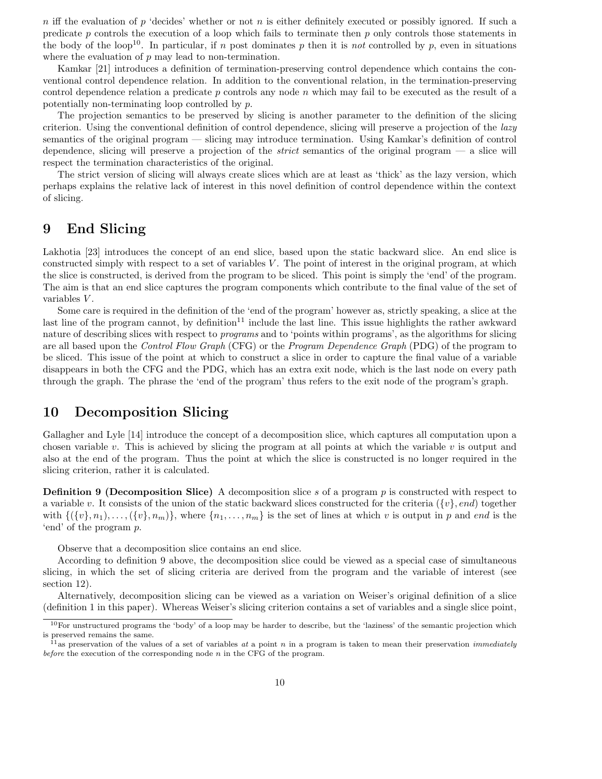n iff the evaluation of p 'decides' whether or not n is either definitely executed or possibly ignored. If such a predicate p controls the execution of a loop which fails to terminate then p only controls those statements in the body of the loop<sup>10</sup>. In particular, if n post dominates p then it is not controlled by p, even in situations where the evaluation of  $p$  may lead to non-termination.

Kamkar [21] introduces a definition of termination-preserving control dependence which contains the conventional control dependence relation. In addition to the conventional relation, in the termination-preserving control dependence relation a predicate  $p$  controls any node  $n$  which may fail to be executed as the result of a potentially non-terminating loop controlled by p.

The projection semantics to be preserved by slicing is another parameter to the definition of the slicing criterion. Using the conventional definition of control dependence, slicing will preserve a projection of the lazy semantics of the original program — slicing may introduce termination. Using Kamkar's definition of control dependence, slicing will preserve a projection of the strict semantics of the original program — a slice will respect the termination characteristics of the original.

The strict version of slicing will always create slices which are at least as 'thick' as the lazy version, which perhaps explains the relative lack of interest in this novel definition of control dependence within the context of slicing.

## 9 End Slicing

Lakhotia [23] introduces the concept of an end slice, based upon the static backward slice. An end slice is constructed simply with respect to a set of variables V. The point of interest in the original program, at which the slice is constructed, is derived from the program to be sliced. This point is simply the 'end' of the program. The aim is that an end slice captures the program components which contribute to the final value of the set of variables V.

Some care is required in the definition of the 'end of the program' however as, strictly speaking, a slice at the last line of the program cannot, by definition<sup>11</sup> include the last line. This issue highlights the rather awkward nature of describing slices with respect to *programs* and to 'points within programs', as the algorithms for slicing are all based upon the Control Flow Graph (CFG) or the Program Dependence Graph (PDG) of the program to be sliced. This issue of the point at which to construct a slice in order to capture the final value of a variable disappears in both the CFG and the PDG, which has an extra exit node, which is the last node on every path through the graph. The phrase the 'end of the program' thus refers to the exit node of the program's graph.

## 10 Decomposition Slicing

Gallagher and Lyle [14] introduce the concept of a decomposition slice, which captures all computation upon a chosen variable v. This is achieved by slicing the program at all points at which the variable v is output and also at the end of the program. Thus the point at which the slice is constructed is no longer required in the slicing criterion, rather it is calculated.

**Definition 9 (Decomposition Slice)** A decomposition slice s of a program  $p$  is constructed with respect to a variable v. It consists of the union of the static backward slices constructed for the criteria  $({v}, end)$  together with  $\{\{\{v\}, n_1), \ldots, \{\{v\}, n_m\}\}\,$  where  $\{n_1, \ldots, n_m\}$  is the set of lines at which v is output in p and end is the 'end' of the program p.

Observe that a decomposition slice contains an end slice.

According to definition 9 above, the decomposition slice could be viewed as a special case of simultaneous slicing, in which the set of slicing criteria are derived from the program and the variable of interest (see section 12).

Alternatively, decomposition slicing can be viewed as a variation on Weiser's original definition of a slice (definition 1 in this paper). Whereas Weiser's slicing criterion contains a set of variables and a single slice point,

 $10$ For unstructured programs the 'body' of a loop may be harder to describe, but the 'laziness' of the semantic projection which is preserved remains the same.

<sup>&</sup>lt;sup>11</sup> as preservation of the values of a set of variables at a point n in a program is taken to mean their preservation *immediately* before the execution of the corresponding node  $n$  in the CFG of the program.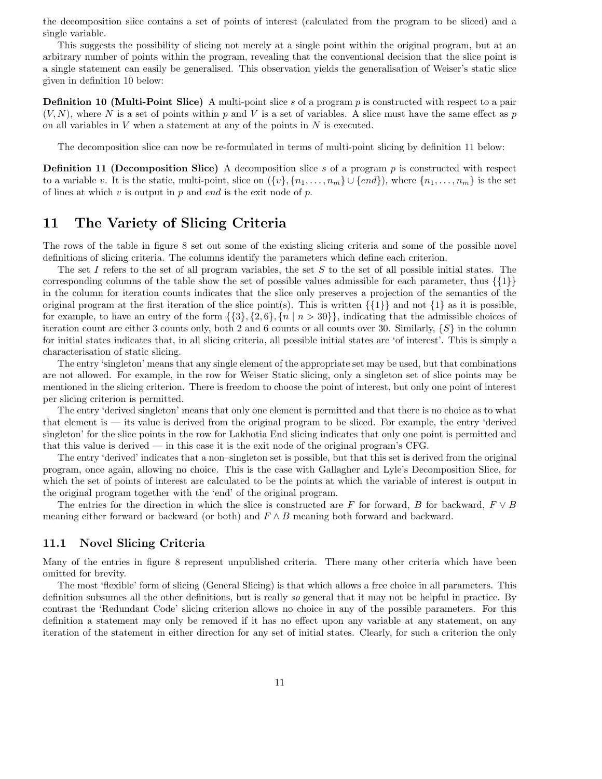the decomposition slice contains a set of points of interest (calculated from the program to be sliced) and a single variable.

This suggests the possibility of slicing not merely at a single point within the original program, but at an arbitrary number of points within the program, revealing that the conventional decision that the slice point is a single statement can easily be generalised. This observation yields the generalisation of Weiser's static slice given in definition 10 below:

**Definition 10 (Multi-Point Slice)** A multi-point slice s of a program  $p$  is constructed with respect to a pair  $(V, N)$ , where N is a set of points within p and V is a set of variables. A slice must have the same effect as p on all variables in  $V$  when a statement at any of the points in  $N$  is executed.

The decomposition slice can now be re-formulated in terms of multi-point slicing by definition 11 below:

**Definition 11 (Decomposition Slice)** A decomposition slice s of a program  $p$  is constructed with respect to a variable v. It is the static, multi-point, slice on  $({v}, {n_1, \ldots, n_m} \cup {end})$ , where  ${n_1, \ldots, n_m}$  is the set of lines at which  $v$  is output in  $p$  and end is the exit node of  $p$ .

# 11 The Variety of Slicing Criteria

The rows of the table in figure 8 set out some of the existing slicing criteria and some of the possible novel definitions of slicing criteria. The columns identify the parameters which define each criterion.

The set I refers to the set of all program variables, the set S to the set of all possible initial states. The corresponding columns of the table show the set of possible values admissible for each parameter, thus  $\{1\}$ in the column for iteration counts indicates that the slice only preserves a projection of the semantics of the original program at the first iteration of the slice point(s). This is written  $\{\{1\}\}\$ and not  $\{1\}$  as it is possible, for example, to have an entry of the form  $\{\{3\},\{2,6\},\{n \mid n > 30\}\}\,$  indicating that the admissible choices of iteration count are either 3 counts only, both 2 and 6 counts or all counts over 30. Similarly,  $\{S\}$  in the column for initial states indicates that, in all slicing criteria, all possible initial states are 'of interest'. This is simply a characterisation of static slicing.

The entry 'singleton' means that any single element of the appropriate set may be used, but that combinations are not allowed. For example, in the row for Weiser Static slicing, only a singleton set of slice points may be mentioned in the slicing criterion. There is freedom to choose the point of interest, but only one point of interest per slicing criterion is permitted.

The entry 'derived singleton' means that only one element is permitted and that there is no choice as to what that element is — its value is derived from the original program to be sliced. For example, the entry 'derived singleton' for the slice points in the row for Lakhotia End slicing indicates that only one point is permitted and that this value is derived — in this case it is the exit node of the original program's CFG.

The entry 'derived' indicates that a non–singleton set is possible, but that this set is derived from the original program, once again, allowing no choice. This is the case with Gallagher and Lyle's Decomposition Slice, for which the set of points of interest are calculated to be the points at which the variable of interest is output in the original program together with the 'end' of the original program.

The entries for the direction in which the slice is constructed are F for forward, B for backward,  $F \vee B$ meaning either forward or backward (or both) and  $F \wedge B$  meaning both forward and backward.

### 11.1 Novel Slicing Criteria

Many of the entries in figure 8 represent unpublished criteria. There many other criteria which have been omitted for brevity.

The most 'flexible' form of slicing (General Slicing) is that which allows a free choice in all parameters. This definition subsumes all the other definitions, but is really so general that it may not be helpful in practice. By contrast the 'Redundant Code' slicing criterion allows no choice in any of the possible parameters. For this definition a statement may only be removed if it has no effect upon any variable at any statement, on any iteration of the statement in either direction for any set of initial states. Clearly, for such a criterion the only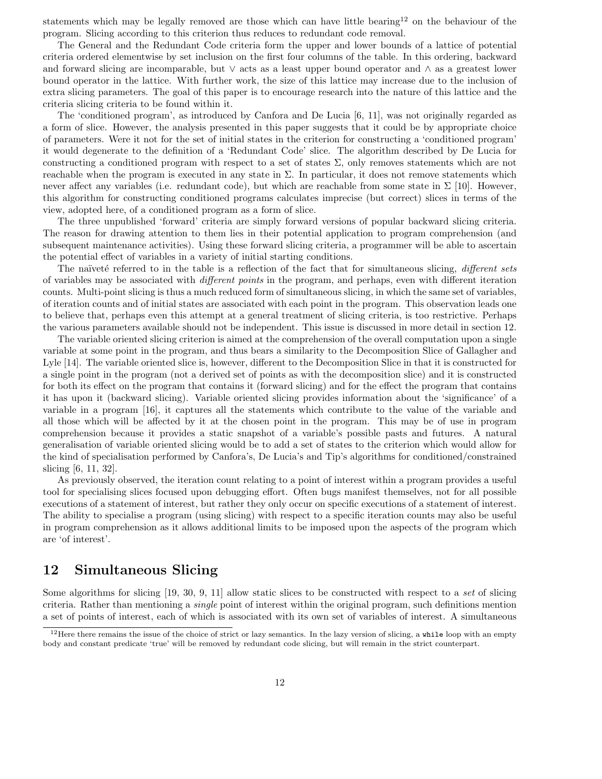statements which may be legally removed are those which can have little bearing<sup>12</sup> on the behaviour of the program. Slicing according to this criterion thus reduces to redundant code removal.

The General and the Redundant Code criteria form the upper and lower bounds of a lattice of potential criteria ordered elementwise by set inclusion on the first four columns of the table. In this ordering, backward and forward slicing are incomparable, but ∨ acts as a least upper bound operator and ∧ as a greatest lower bound operator in the lattice. With further work, the size of this lattice may increase due to the inclusion of extra slicing parameters. The goal of this paper is to encourage research into the nature of this lattice and the criteria slicing criteria to be found within it.

The 'conditioned program', as introduced by Canfora and De Lucia [6, 11], was not originally regarded as a form of slice. However, the analysis presented in this paper suggests that it could be by appropriate choice of parameters. Were it not for the set of initial states in the criterion for constructing a 'conditioned program' it would degenerate to the definition of a 'Redundant Code' slice. The algorithm described by De Lucia for constructing a conditioned program with respect to a set of states  $\Sigma$ , only removes statements which are not reachable when the program is executed in any state in  $\Sigma$ . In particular, it does not remove statements which never affect any variables (i.e. redundant code), but which are reachable from some state in  $\Sigma$  [10]. However, this algorithm for constructing conditioned programs calculates imprecise (but correct) slices in terms of the view, adopted here, of a conditioned program as a form of slice.

The three unpublished 'forward' criteria are simply forward versions of popular backward slicing criteria. The reason for drawing attention to them lies in their potential application to program comprehension (and subsequent maintenance activities). Using these forward slicing criteria, a programmer will be able to ascertain the potential effect of variables in a variety of initial starting conditions.

The naïveté referred to in the table is a reflection of the fact that for simultaneous slicing, different sets of variables may be associated with different points in the program, and perhaps, even with different iteration counts. Multi-point slicing is thus a much reduced form of simultaneous slicing, in which the same set of variables, of iteration counts and of initial states are associated with each point in the program. This observation leads one to believe that, perhaps even this attempt at a general treatment of slicing criteria, is too restrictive. Perhaps the various parameters available should not be independent. This issue is discussed in more detail in section 12.

The variable oriented slicing criterion is aimed at the comprehension of the overall computation upon a single variable at some point in the program, and thus bears a similarity to the Decomposition Slice of Gallagher and Lyle [14]. The variable oriented slice is, however, different to the Decomposition Slice in that it is constructed for a single point in the program (not a derived set of points as with the decomposition slice) and it is constructed for both its effect on the program that contains it (forward slicing) and for the effect the program that contains it has upon it (backward slicing). Variable oriented slicing provides information about the 'significance' of a variable in a program [16], it captures all the statements which contribute to the value of the variable and all those which will be affected by it at the chosen point in the program. This may be of use in program comprehension because it provides a static snapshot of a variable's possible pasts and futures. A natural generalisation of variable oriented slicing would be to add a set of states to the criterion which would allow for the kind of specialisation performed by Canfora's, De Lucia's and Tip's algorithms for conditioned/constrained slicing [6, 11, 32].

As previously observed, the iteration count relating to a point of interest within a program provides a useful tool for specialising slices focused upon debugging effort. Often bugs manifest themselves, not for all possible executions of a statement of interest, but rather they only occur on specific executions of a statement of interest. The ability to specialise a program (using slicing) with respect to a specific iteration counts may also be useful in program comprehension as it allows additional limits to be imposed upon the aspects of the program which are 'of interest'.

## 12 Simultaneous Slicing

Some algorithms for slicing [19, 30, 9, 11] allow static slices to be constructed with respect to a set of slicing criteria. Rather than mentioning a single point of interest within the original program, such definitions mention a set of points of interest, each of which is associated with its own set of variables of interest. A simultaneous

 $12$  Here there remains the issue of the choice of strict or lazy semantics. In the lazy version of slicing, a while loop with an empty body and constant predicate 'true' will be removed by redundant code slicing, but will remain in the strict counterpart.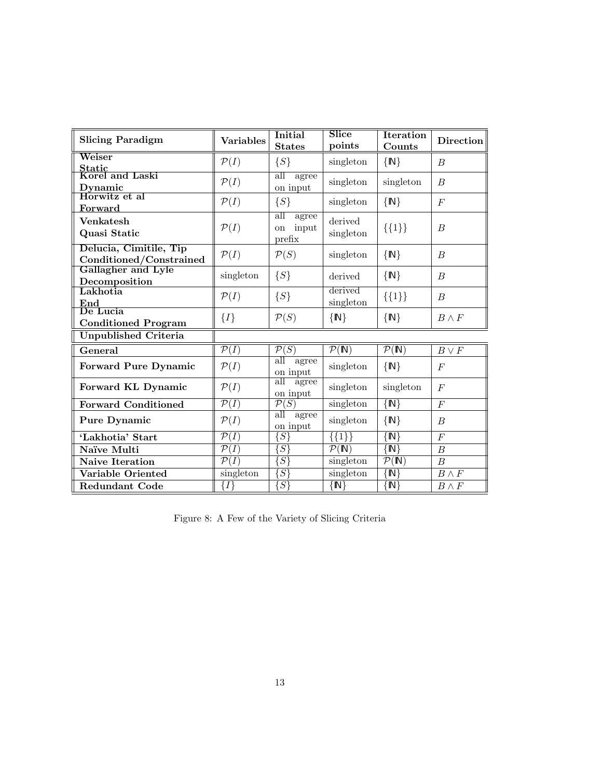| <b>Slicing Paradigm</b>                           | <b>Variables</b>            | <b>Initial</b><br><b>States</b>              | Slice<br>points                      | <b>Iteration</b><br>Counts           | Direction        |
|---------------------------------------------------|-----------------------------|----------------------------------------------|--------------------------------------|--------------------------------------|------------------|
| Weiser                                            | $\mathcal{P}(I)$            | $\{S\}$                                      | singleton                            | $\{N\}$                              | $\boldsymbol{B}$ |
| Static<br>Korel and Laski<br>Dynamic              | $\mathcal{P}(I)$            | all<br>agree<br>on input                     | singleton                            | singleton                            | $\boldsymbol{B}$ |
| Horwitz et al<br>Forward                          | $\mathcal{P}(I)$            | $\{S\}$                                      | singleton                            | $\{N\}$                              | $\overline{F}$   |
| <b>Venkatesh</b><br>Quasi Static                  | $\mathcal{P}(I)$            | all<br>agree<br>input<br>on<br>prefix        | derived<br>singleton                 | $\{\{1\}\}\$                         | $\boldsymbol{B}$ |
| Delucia, Cimitile, Tip<br>Conditioned/Constrained | $\mathcal{P}(I)$            | $\mathcal{P}(S)$                             | singleton                            | $\{N\}$                              | $\boldsymbol{B}$ |
| Gallagher and Lyle<br>Decomposition               | singleton                   | $\{S\}$                                      | derived                              | $\{N\}$                              | $\boldsymbol{B}$ |
| Lakhotia<br>$\boldsymbol{\mathrm{End}}$           | $\mathcal{P}(I)$            | $\{S\}$                                      | derived<br>singleton                 | $\{\{1\}\}\$                         | $\boldsymbol{B}$ |
| De Lucia<br><b>Conditioned Program</b>            | $\{I\}$                     | $\mathcal{P}(S)$                             | $\{N\}$                              | $\{N\}$                              | $B \wedge F$     |
| <b>Unpublished Criteria</b>                       |                             |                                              |                                      |                                      |                  |
| General                                           | $\overline{\mathcal{P}(I)}$ | $\overline{\mathcal{P}(S)}$                  | $\overline{\mathcal{P}(\mathbb{N})}$ | $\overline{\mathcal{P}(\mathbb{N})}$ | $B \vee F$       |
| <b>Forward Pure Dynamic</b>                       | $\mathcal{P}(I)$            | $\overline{\text{all}}$<br>agree<br>on input | singleton                            | $\{N\}$                              | $\overline{F}$   |
| Forward KL Dynamic                                | $\mathcal{P}(I)$            | all<br>agree<br>on input                     | singleton                            | singleton                            | $\boldsymbol{F}$ |
| <b>Forward Conditioned</b>                        | $\mathcal{P}(I)$            | $\overline{\mathcal{P}(S)}$                  | singleton                            | $\overline{\{N\}}$                   | $\boldsymbol{F}$ |
| <b>Pure Dynamic</b>                               | $\mathcal{P}(I)$            | $\overline{\text{all}}$<br>agree<br>on input | singleton                            | $\{N\}$                              | $\boldsymbol{B}$ |
| 'Lakhotia' Start                                  | $\mathcal{P}(I)$            | $\{S\}$                                      | $\{\overline{\{1\}}\}$               | $\left\{ \mathbb{N}\right\}$         | $\cal F$         |
| Naïve Multi                                       | $\overline{\mathcal{P}}(I)$ | $\overline{\{S\}}$                           | $\overline{\mathcal{P}(\mathbb{N})}$ | $\overline{N}$                       | $\boldsymbol{B}$ |
| <b>Naive Iteration</b>                            | $\mathcal{P}(I)$            | $S\}$                                        | singleton                            | $\overline{\mathcal{P}(\mathbb{N})}$ | $\boldsymbol{B}$ |
| Variable Oriented                                 | singleton                   | $\overline{\{S\}}$                           | singleton                            | $\overline{N}$                       | $B \wedge F$     |
| <b>Redundant Code</b>                             | $\{I\}$                     | $\{S\}$                                      | $\{N\}$                              | $\mathbb{N}\}$                       | $B \wedge F$     |

Figure 8: A Few of the Variety of Slicing Criteria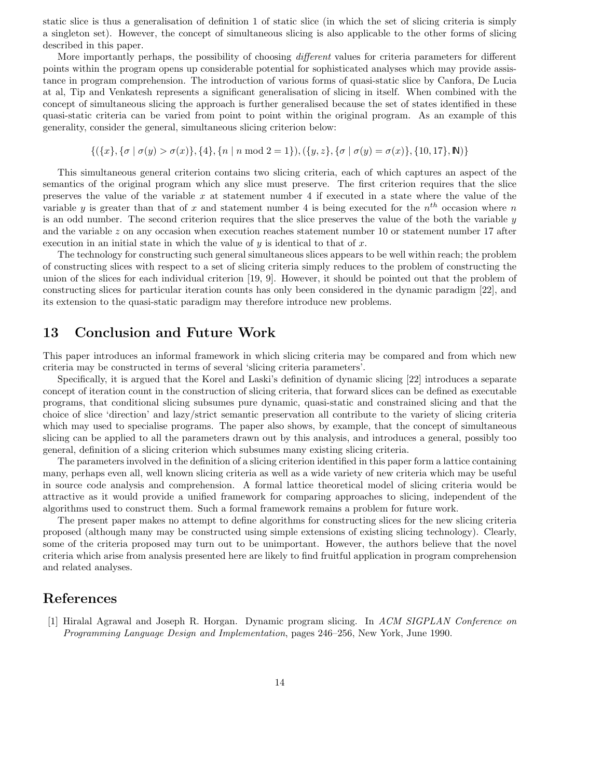static slice is thus a generalisation of definition 1 of static slice (in which the set of slicing criteria is simply a singleton set). However, the concept of simultaneous slicing is also applicable to the other forms of slicing described in this paper.

More importantly perhaps, the possibility of choosing *different* values for criteria parameters for different points within the program opens up considerable potential for sophisticated analyses which may provide assistance in program comprehension. The introduction of various forms of quasi-static slice by Canfora, De Lucia at al, Tip and Venkatesh represents a significant generalisation of slicing in itself. When combined with the concept of simultaneous slicing the approach is further generalised because the set of states identified in these quasi-static criteria can be varied from point to point within the original program. As an example of this generality, consider the general, simultaneous slicing criterion below:

$$
\{(x\}, \{\sigma \mid \sigma(y) > \sigma(x)\}, \{4\}, \{n \mid n \mod 2 = 1\}), (\{y, z\}, \{\sigma \mid \sigma(y) = \sigma(x)\}, \{10, 17\}, \mathbb{N})\}
$$

This simultaneous general criterion contains two slicing criteria, each of which captures an aspect of the semantics of the original program which any slice must preserve. The first criterion requires that the slice preserves the value of the variable  $x$  at statement number 4 if executed in a state where the value of the variable y is greater than that of x and statement number 4 is being executed for the  $n<sup>th</sup>$  occasion where n is an odd number. The second criterion requires that the slice preserves the value of the both the variable  $y$ and the variable z on any occasion when execution reaches statement number 10 or statement number 17 after execution in an initial state in which the value of  $y$  is identical to that of  $x$ .

The technology for constructing such general simultaneous slices appears to be well within reach; the problem of constructing slices with respect to a set of slicing criteria simply reduces to the problem of constructing the union of the slices for each individual criterion [19, 9]. However, it should be pointed out that the problem of constructing slices for particular iteration counts has only been considered in the dynamic paradigm [22], and its extension to the quasi-static paradigm may therefore introduce new problems.

### 13 Conclusion and Future Work

This paper introduces an informal framework in which slicing criteria may be compared and from which new criteria may be constructed in terms of several 'slicing criteria parameters'.

Specifically, it is argued that the Korel and Laski's definition of dynamic slicing [22] introduces a separate concept of iteration count in the construction of slicing criteria, that forward slices can be defined as executable programs, that conditional slicing subsumes pure dynamic, quasi-static and constrained slicing and that the choice of slice 'direction' and lazy/strict semantic preservation all contribute to the variety of slicing criteria which may used to specialise programs. The paper also shows, by example, that the concept of simultaneous slicing can be applied to all the parameters drawn out by this analysis, and introduces a general, possibly too general, definition of a slicing criterion which subsumes many existing slicing criteria.

The parameters involved in the definition of a slicing criterion identified in this paper form a lattice containing many, perhaps even all, well known slicing criteria as well as a wide variety of new criteria which may be useful in source code analysis and comprehension. A formal lattice theoretical model of slicing criteria would be attractive as it would provide a unified framework for comparing approaches to slicing, independent of the algorithms used to construct them. Such a formal framework remains a problem for future work.

The present paper makes no attempt to define algorithms for constructing slices for the new slicing criteria proposed (although many may be constructed using simple extensions of existing slicing technology). Clearly, some of the criteria proposed may turn out to be unimportant. However, the authors believe that the novel criteria which arise from analysis presented here are likely to find fruitful application in program comprehension and related analyses.

## References

[1] Hiralal Agrawal and Joseph R. Horgan. Dynamic program slicing. In ACM SIGPLAN Conference on Programming Language Design and Implementation, pages 246–256, New York, June 1990.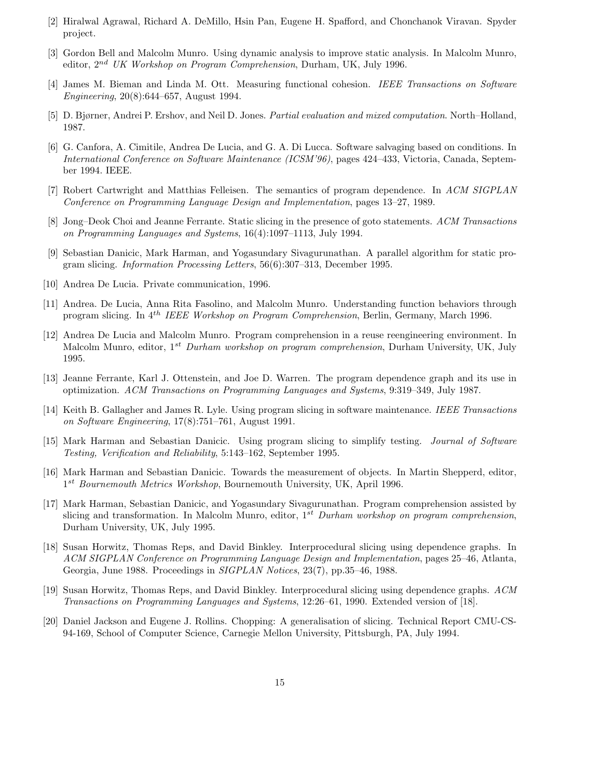- [2] Hiralwal Agrawal, Richard A. DeMillo, Hsin Pan, Eugene H. Spafford, and Chonchanok Viravan. Spyder project.
- [3] Gordon Bell and Malcolm Munro. Using dynamic analysis to improve static analysis. In Malcolm Munro, editor, 2nd UK Workshop on Program Comprehension, Durham, UK, July 1996.
- [4] James M. Bieman and Linda M. Ott. Measuring functional cohesion. IEEE Transactions on Software Engineering, 20(8):644–657, August 1994.
- [5] D. Bjørner, Andrei P. Ershov, and Neil D. Jones. Partial evaluation and mixed computation. North–Holland, 1987.
- [6] G. Canfora, A. Cimitile, Andrea De Lucia, and G. A. Di Lucca. Software salvaging based on conditions. In International Conference on Software Maintenance (ICSM'96), pages 424–433, Victoria, Canada, September 1994. IEEE.
- [7] Robert Cartwright and Matthias Felleisen. The semantics of program dependence. In ACM SIGPLAN Conference on Programming Language Design and Implementation, pages 13–27, 1989.
- [8] Jong–Deok Choi and Jeanne Ferrante. Static slicing in the presence of goto statements. ACM Transactions on Programming Languages and Systems, 16(4):1097–1113, July 1994.
- [9] Sebastian Danicic, Mark Harman, and Yogasundary Sivagurunathan. A parallel algorithm for static program slicing. Information Processing Letters, 56(6):307–313, December 1995.
- [10] Andrea De Lucia. Private communication, 1996.
- [11] Andrea. De Lucia, Anna Rita Fasolino, and Malcolm Munro. Understanding function behaviors through program slicing. In 4th IEEE Workshop on Program Comprehension, Berlin, Germany, March 1996.
- [12] Andrea De Lucia and Malcolm Munro. Program comprehension in a reuse reengineering environment. In Malcolm Munro, editor, 1<sup>st</sup> Durham workshop on program comprehension, Durham University, UK, July 1995.
- [13] Jeanne Ferrante, Karl J. Ottenstein, and Joe D. Warren. The program dependence graph and its use in optimization. ACM Transactions on Programming Languages and Systems, 9:319–349, July 1987.
- [14] Keith B. Gallagher and James R. Lyle. Using program slicing in software maintenance. IEEE Transactions on Software Engineering, 17(8):751–761, August 1991.
- [15] Mark Harman and Sebastian Danicic. Using program slicing to simplify testing. Journal of Software Testing, Verification and Reliability, 5:143–162, September 1995.
- [16] Mark Harman and Sebastian Danicic. Towards the measurement of objects. In Martin Shepperd, editor, 1<sup>st</sup> Bournemouth Metrics Workshop, Bournemouth University, UK, April 1996.
- [17] Mark Harman, Sebastian Danicic, and Yogasundary Sivagurunathan. Program comprehension assisted by slicing and transformation. In Malcolm Munro, editor,  $1^{st}$  Durham workshop on program comprehension, Durham University, UK, July 1995.
- [18] Susan Horwitz, Thomas Reps, and David Binkley. Interprocedural slicing using dependence graphs. In ACM SIGPLAN Conference on Programming Language Design and Implementation, pages 25–46, Atlanta, Georgia, June 1988. Proceedings in SIGPLAN Notices, 23(7), pp.35–46, 1988.
- [19] Susan Horwitz, Thomas Reps, and David Binkley. Interprocedural slicing using dependence graphs. ACM Transactions on Programming Languages and Systems, 12:26–61, 1990. Extended version of [18].
- [20] Daniel Jackson and Eugene J. Rollins. Chopping: A generalisation of slicing. Technical Report CMU-CS-94-169, School of Computer Science, Carnegie Mellon University, Pittsburgh, PA, July 1994.